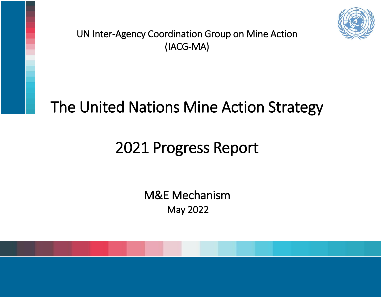

UN Inter-Agency Coordination Group on Mine Action (IACG-MA)

# The United Nations Mine Action Strategy

# 2021 Progress Report

May 2022 M&E Mechanism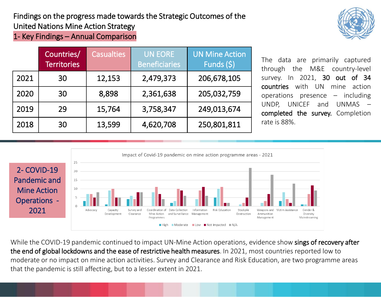Findings on the progress made towards the Strategic Outcomes of the United Nations Mine Action Strategy

1- Key Findings – Annual Comparison

|      | Countries/<br><b>Territories</b> | <b>Casualties</b> | <b>UN EORE</b><br><b>Beneficiaries</b> | <b>UN Mine Action</b><br>Funds $(5)$ |
|------|----------------------------------|-------------------|----------------------------------------|--------------------------------------|
| 2021 | 30                               | 12,153            | 2,479,373                              | 206,678,105                          |
| 2020 | 30                               | 8,898             | 2,361,638                              | 205,032,759                          |
| 2019 | 29                               | 15,764            | 3,758,347                              | 249,013,674                          |
| 2018 | 30                               | 13,599            | 4,620,708                              | 250,801,811                          |

The data are primarily captured through the M&E country-level survey. In 2021, 30 out of 34 countries with UN mine action operations presence – including UNDP, UNICEF and UNMAS – completed the survey. Completion rate is 88%.



While the COVID-19 pandemic continued to impact UN-Mine Action operations, evidence show sings of recovery after the end of global lockdowns and the ease of restrictive health measures. In 2021, most countries reported low to moderate or no impact on mine action activities. Survey and Clearance and Risk Education, are two programme areas that the pandemic is still affecting, but to a lesser extent in 2021.

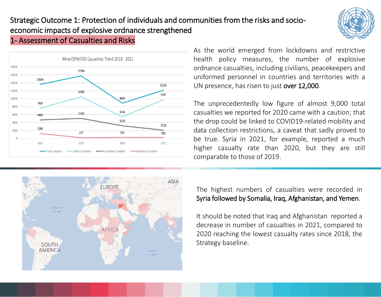







As the world emerged from lockdowns and restrictive health policy measures, the number of explosive ordnance casualties, including civilians, peacekeepers and uniformed personnel in countries and territories with a UN presence, has risen to just over 12,000.

The unprecedentedly low figure of almost 9,000 total casualties we reported for 2020 came with a caution; that the drop could be linked to COVID19-related mobility and data collection restrictions, a caveat that sadly proved to be true. Syria in 2021, for example, reported a much higher casualty rate than 2020, but they are still comparable to those of 2019.

#### The highest numbers of casualties were recorded in Syria followed by Somalia, Iraq, Afghanistan, and Yemen.

It should be noted that Iraq and Afghanistan reported a decrease in number of casualties in 2021, compared to 2020 reaching the lowest casualty rates since 2018, the Strategy baseline.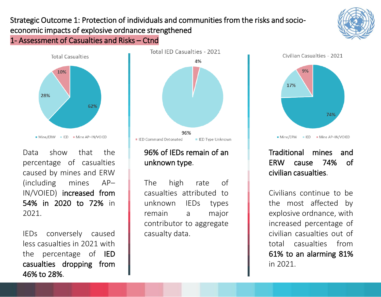#### Strategic Outcome 1: Protection of individuals and communities from the risks and socioeconomic impacts of explosive ordnance strengthened 1- Assessment of Casualties and Risks – Ctnd



Data show that the percentage of casualties caused by mines and ERW (including mines AP– IN/VOIED) increased from 54% in 2020 to 72% in 2021.

IEDs conversely caused less casualties in 2021 with the percentage of IED casualties dropping from 46% to 28%.



## 96% of IEDs remain of an unknown type.

The high rate of casualties attributed to unknown IEDs types remain a major contributor to aggregate casualty data.



## Traditional mines and ERW cause 74% of civilian casualties.

Civilians continue to be the most affected by explosive ordnance, with increased percentage of civilian casualties out of total casualties from 61% to an alarming 81% in 2021.

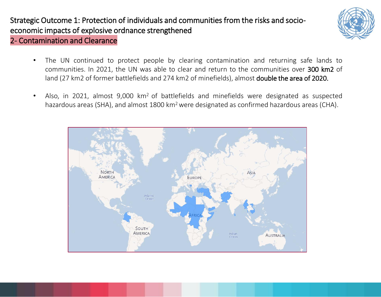

- 2- Contamination and Clearance
	- The UN continued to protect people by clearing contamination and returning safe lands to communities. In 2021, the UN was able to clear and return to the communities over 300 km2 of land (27 km2 of former battlefields and 274 km2 of minefields), almost double the area of 2020.
	- Also, in 2021, almost 9,000 km<sup>2</sup> of battlefields and minefields were designated as suspected hazardous areas (SHA), and almost 1800 km<sup>2</sup> were designated as confirmed hazardous areas (CHA).

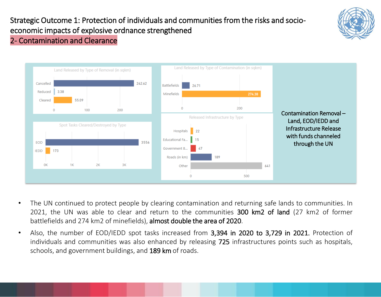

#### 2- Contamination and Clearance



- The UN continued to protect people by clearing contamination and returning safe lands to communities. In 2021, the UN was able to clear and return to the communities 300 km2 of land (27 km2 of former battlefields and 274 km2 of minefields), almost double the area of 2020.
- Also, the number of EOD/IEDD spot tasks increased from 3,394 in 2020 to 3,729 in 2021. Protection of individuals and communities was also enhanced by releasing 725 infrastructures points such as hospitals, schools, and government buildings, and 189 km of roads.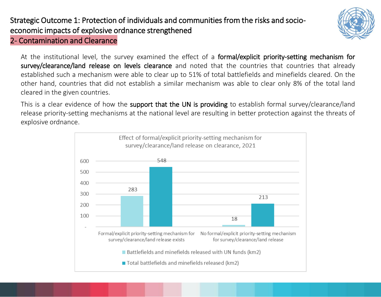

#### 2- Contamination and Clearance

At the institutional level, the survey examined the effect of a formal/explicit priority-setting mechanism for survey/clearance/land release on levels clearance and noted that the countries that countries that already established such a mechanism were able to clear up to 51% of total battlefields and minefields cleared. On the other hand, countries that did not establish a similar mechanism was able to clear only 8% of the total land cleared in the given countries.

This is a clear evidence of how the support that the UN is providing to establish formal survey/clearance/land release priority-setting mechanisms at the national level are resulting in better protection against the threats of explosive ordnance.

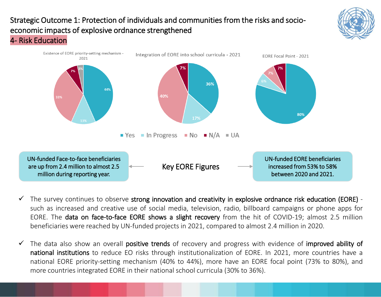



- $\checkmark$  The survey continues to observe strong innovation and creativity in explosive ordnance risk education (EORE) such as increased and creative use of social media, television, radio, billboard campaigns or phone apps for EORE. The data on face-to-face EORE shows a slight recovery from the hit of COVID-19; almost 2.5 million beneficiaries were reached by UN-funded projects in 2021, compared to almost 2.4 million in 2020.
- $\checkmark$  The data also show an overall positive trends of recovery and progress with evidence of improved ability of national institutions to reduce EO risks through institutionalization of EORE. In 2021, more countries have a national EORE priority-setting mechanism (40% to 44%), more have an EORE focal point (73% to 80%), and more countries integrated EORE in their national school curricula (30% to 36%).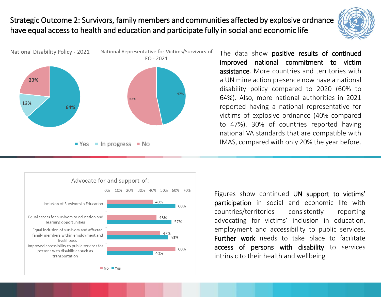## Strategic Outcome 2: Survivors, family members and communities affected by explosive ordnance have equal access to health and education and participate fully in social and economic life



The data show positive results of continued improved national commitment to victim assistance. More countries and territories with a UN mine action presence now have a national disability policy compared to 2020 (60% to 64%). Also, more national authorities in 2021 reported having a national representative for victims of explosive ordnance (40% compared to 47%). 30% of countries reported having national VA standards that are compatible with IMAS, compared with only 20% the year before.



Figures show continued UN support to victims' participation in social and economic life with countries/territories consistently reporting advocating for victims' inclusion in education, employment and accessibility to public services. Further work needs to take place to facilitate access of persons with disability to services intrinsic to their health and wellbeing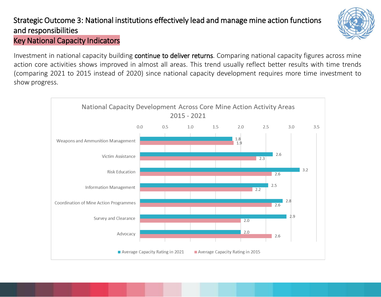## Strategic Outcome 3: National institutions effectively lead and manage mine action functions and responsibilities



#### Key National Capacity Indicators

Investment in national capacity building continue to deliver returns. Comparing national capacity figures across mine action core activities shows improved in almost all areas. This trend usually reflect better results with time trends (comparing 2021 to 2015 instead of 2020) since national capacity development requires more time investment to show progress.

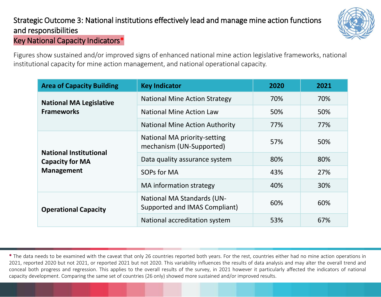### Strategic Outcome 3: National institutions effectively lead and manage mine action functions and responsibilities Key National Capacity Indicators\*



Figures show sustained and/or improved signs of enhanced national mine action legislative frameworks, national institutional capacity for mine action management, and national operational capacity.

| <b>Area of Capacity Building</b>                        | <b>Key Indicator</b>                                               | 2020 | 2021 |
|---------------------------------------------------------|--------------------------------------------------------------------|------|------|
| <b>National MA Legislative</b>                          | <b>National Mine Action Strategy</b>                               | 70%  | 70%  |
| <b>Frameworks</b>                                       | <b>National Mine Action Law</b>                                    | 50%  | 50%  |
|                                                         | <b>National Mine Action Authority</b>                              | 77%  | 77%  |
|                                                         | National MA priority-setting<br>mechanism (UN-Supported)           | 57%  | 50%  |
| <b>National Institutional</b><br><b>Capacity for MA</b> | Data quality assurance system                                      | 80%  | 80%  |
| <b>Management</b>                                       | SOPs for MA                                                        | 43%  | 27%  |
|                                                         | MA information strategy                                            | 40%  | 30%  |
| <b>Operational Capacity</b>                             | <b>National MA Standards (UN-</b><br>Supported and IMAS Compliant) | 60%  | 60%  |
|                                                         | National accreditation system                                      | 53%  | 67%  |

\* The data needs to be examined with the caveat that only 26 countries reported both years. For the rest, countries either had no mine action operations in 2021, reported 2020 but not 2021, or reported 2021 but not 2020. This variability influences the results of data analysis and may alter the overall trend and conceal both progress and regression. This applies to the overall results of the survey, in 2021 however it particularly affected the indicators of national capacity development. Comparing the same set of countries (26 only) showed more sustained and/or improved results.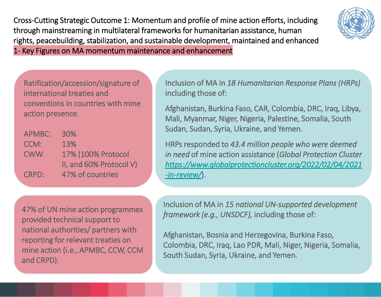Cross-Cutting Strategic Outcome 1: Momentum and profile of mine action efforts, including through mainstreaming in multilateral frameworks for humanitarian assistance, human rights, peacebuilding, stabilization, and sustainable development, maintained and enhanced 1- Key Figures on MA momentum maintenance and enhancement



Ratification/accession/signature of international treaties and conventions in countries with mine action presence.

| <b>APMBC:</b> | <b>30%</b>              |
|---------------|-------------------------|
| CCM:          | 13%                     |
| <b>CWW</b>    | 17% (100% Protocol      |
|               | II, and 60% Protocol V) |
| <b>CRPD:</b>  | 47% of countries        |

Inclusion of MA in *18 Humanitarian Response Plans (HRPs)*  including those of:

Afghanistan, Burkina Faso, CAR, Colombia, DRC, Iraq, Libya, Mali, Myanmar, Niger, Nigeria, Palestine, Somalia, South Sudan, Sudan, Syria, Ukraine, and Yemen.

HRPs responded to *43.4 million people who were deemed in need* of mine action assistance (*Global Protection Cluster [https://www.globalprotectioncluster.org/2022/02/04/2021](https://www.globalprotectioncluster.org/2022/02/04/2021-in-review/) -in-review/*).

47% of UN mine action programmes provided technical support to national authorities/ partners with reporting for relevant treaties on mine action (i.e., APMBC, CCW, CCM and CRPD).

Inclusion of MA in *15 national UN-supported development framework (e.g., UNSDCF),* including those of:

Afghanistan, Bosnia and Herzegovina, Burkina Faso, Colombia, DRC, Iraq, Lao PDR, Mali, Niger, Nigeria, Somalia, South Sudan, Syria, Ukraine, and Yemen.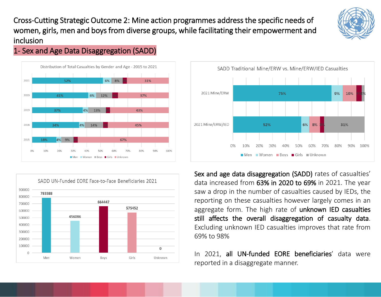Cross-Cutting Strategic Outcome 2: Mine action programmes address the specific needs of women, girls, men and boys from diverse groups, while facilitating their empowerment and inclusion



1- Sex and Age Data Disaggregation (SADD)







Sex and age data disaggregation (SADD) rates of casualties' data increased from 63% in 2020 to 69% in 2021. The year saw a drop in the number of casualties caused by IEDs, the reporting on these casualties however largely comes in an aggregate form. The high rate of unknown IED casualties still affects the overall disaggregation of casualty data. Excluding unknown IED casualties improves that rate from 69% to 98%

In 2021, all UN-funded EORE beneficiaries' data were reported in a disaggregate manner.